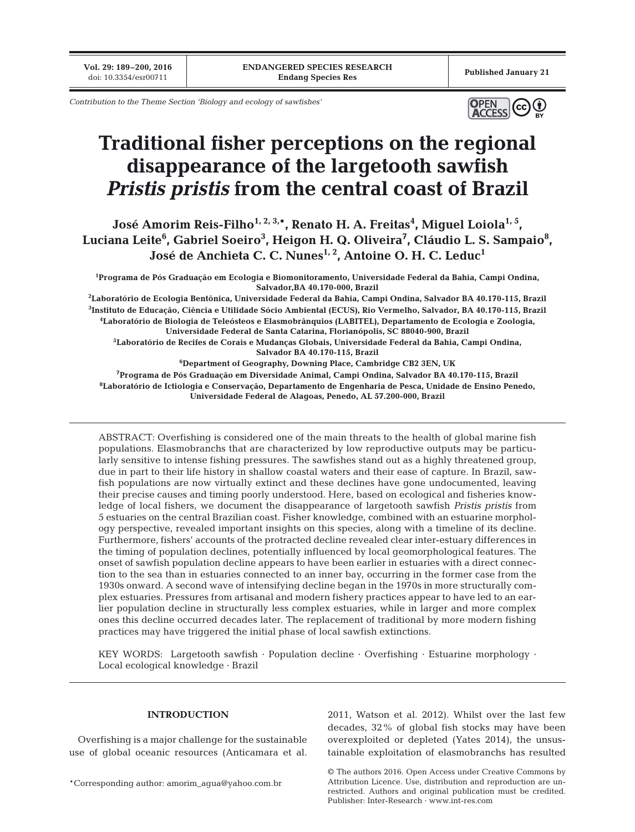**Vol. 29: 189–200, 2016**

*Contribution to the Theme Section 'Biology and ecology of sawfishes'*



# **Traditional fisher perceptions on the regional disappearance of the largetooth sawfish**  *Pristis pristis* **from the central coast of Brazil**

**José Amorim Reis-Filho1, 2, 3,\*, Renato H. A. Freitas4 , Miguel Loiola1, 5,** Luciana Leite<sup>6</sup>, Gabriel Soeiro<sup>3</sup>, Heigon H. Q. Oliveira<sup>7</sup>, Cláudio L. S. Sampaio<sup>8</sup>, José de Anchieta C. C. Nunes<sup>1, 2</sup>, Antoine O. H. C. Leduc<sup>1</sup>

**1 Programa de Pós Graduação em Ecologia e Biomonitoramento, Universidade Federal da Bahia, Campi Ondina, Salvador,BA 40.170-000, Brazil**

 **Laboratório de Ecologia Bentônica, Universidade Federal da Bahia, Campi Ondina, Salvador BA 40.170-115, Brazil Instituto de Educação, Ciência e Utilidade Sócio Ambiental (ECUS), Rio Vermelho, Salvador, BA 40.170-115, Brazil Laboratório de Biologia de Teleósteos e Elasmobrânquios (LABITEL), Departamento de Ecologia e Zoologia, Universidade Federal de Santa Catarina, Florianópolis, SC 88040-900, Brazil Laboratório de Recifes de Corais e Mudanças Globais, Universidade Federal da Bahia, Campi Ondina, Salvador BA 40.170-115, Brazil Department of Geography, Downing Place, Cambridge CB2 3EN, UK Programa de Pós Graduação em Diversidade Animal, Campi Ondina, Salvador BA 40.170-115, Brazil**

**8 Laboratório de Ictiologia e Conservação, Departamento de Engenharia de Pesca, Unidade de Ensino Penedo, Universidade Federal de Alagoas, Penedo, AL 57.200-000, Brazil**

ABSTRACT: Overfishing is considered one of the main threats to the health of global marine fish populations. Elasmobranchs that are characterized by low reproductive outputs may be particularly sensitive to intense fishing pressures. The sawfishes stand out as a highly threatened group, due in part to their life history in shallow coastal waters and their ease of capture. In Brazil, sawfish populations are now virtually extinct and these declines have gone undocumented, leaving their precise causes and timing poorly understood. Here, based on ecological and fisheries know ledge of local fishers, we document the disappearance of largetooth sawfish *Pristis pristis* from 5 estuaries on the central Brazilian coast. Fisher knowledge, combined with an estuarine morphology perspective, revealed important insights on this species, along with a timeline of its decline. Furthermore, fishers' accounts of the protracted decline revealed clear inter-estuary differences in the timing of population declines, potentially influenced by local geomorphological features. The onset of sawfish population decline appears to have been earlier in estuaries with a direct connection to the sea than in estuaries connected to an inner bay, occurring in the former case from the 1930s onward. A second wave of intensifying decline began in the 1970s in more structurally complex estuaries. Pressures from artisanal and modern fishery practices appear to have led to an earlier population decline in structurally less complex estuaries, while in larger and more complex ones this decline occurred decades later. The replacement of traditional by more modern fishing practices may have triggered the initial phase of local sawfish extinctions.

KEY WORDS: Largetooth sawfish · Population decline · Overfishing · Estuarine morphology · Local ecological knowledge · Brazil

# **INTRODUCTION**

Overfishing is a major challenge for the sustainable use of global oceanic resources (Anticamara et al. 2011, Watson et al. 2012). Whilst over the last few decades, 32% of global fish stocks may have been overexploited or depleted (Yates 2014), the unsustainable exploitation of elasmobranchs has resulted

© The authors 2016. Open Access under Creative Commons by Attribution Licence. Use, distribution and reproduction are unrestricted. Authors and original publication must be credited. Publisher: Inter-Research · www.int-res.com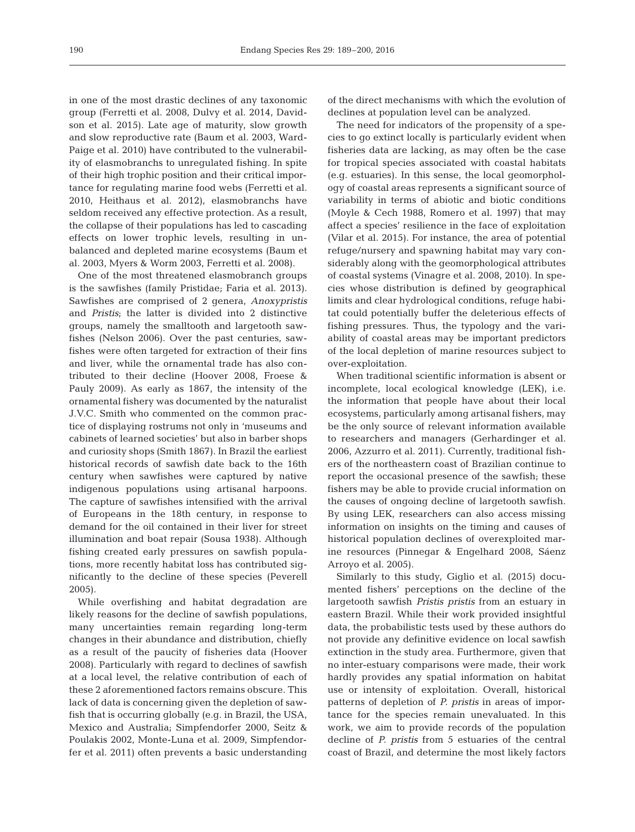in one of the most drastic declines of any taxonomic group (Ferretti et al. 2008, Dulvy et al. 2014, Davidson et al. 2015). Late age of maturity, slow growth and slow reproductive rate (Baum et al. 2003, Ward-Paige et al. 2010) have contributed to the vulnerability of elasmobranchs to unregulated fishing. In spite of their high trophic position and their critical importance for regulating marine food webs (Ferretti et al. 2010, Heithaus et al. 2012), elasmobranchs have seldom received any effective protection. As a result, the collapse of their populations has led to cascading effects on lower trophic levels, resulting in unbalanced and depleted marine ecosystems (Baum et al. 2003, Myers & Worm 2003, Ferretti et al. 2008).

One of the most threatened elasmobranch groups is the sawfishes (family Pristidae; Faria et al. 2013). Sawfishes are comprised of 2 genera, *Anoxypristis* and *Pristis*; the latter is divided into 2 distinctive groups, namely the smalltooth and largetooth sawfishes (Nelson 2006). Over the past centuries, sawfishes were often targeted for extraction of their fins and liver, while the ornamental trade has also contributed to their decline (Hoover 2008, Froese & Pauly 2009). As early as 1867, the intensity of the ornamental fishery was documented by the naturalist J.V.C. Smith who commented on the common practice of displaying rostrums not only in 'museums and cabinets of learned societies' but also in barber shops and curiosity shops (Smith 1867). In Brazil the earliest historical records of sawfish date back to the 16th century when sawfishes were captured by native indigenous populations using artisanal harpoons. The capture of sawfishes intensified with the arrival of Europeans in the 18th century, in response to demand for the oil contained in their liver for street illumination and boat repair (Sousa 1938). Although fishing created early pressures on sawfish populations, more recently habitat loss has contributed significantly to the decline of these species (Peverell 2005).

While overfishing and habitat degradation are likely reasons for the decline of sawfish populations, many uncertainties remain regarding long-term changes in their abundance and distribution, chiefly as a result of the paucity of fisheries data (Hoover 2008). Particularly with regard to declines of sawfish at a local level, the relative contribution of each of these 2 aforementioned factors remains obscure. This lack of data is concerning given the depletion of sawfish that is occurring globally (e.g. in Brazil, the USA, Mexico and Australia; Simpfendorfer 2000, Seitz & Poulakis 2002, Monte-Luna et al. 2009, Simpfendorfer et al. 2011) often prevents a basic understanding

of the direct mechanisms with which the evolution of declines at population level can be analyzed.

The need for indicators of the propensity of a species to go extinct locally is particularly evident when fisheries data are lacking, as may often be the case for tropical species associated with coastal habitats (e.g. estuaries). In this sense, the local geomorphology of coastal areas represents a significant source of variability in terms of abiotic and biotic conditions (Moyle & Cech 1988, Romero et al. 1997) that may affect a species' resilience in the face of exploitation (Vilar et al. 2015). For instance, the area of potential refuge/nursery and spawning habitat may vary considerably along with the geomorphological attributes of coastal systems (Vinagre et al. 2008, 2010). In species whose distribution is defined by geographical limits and clear hydrological conditions, refuge habitat could potentially buffer the deleterious effects of fishing pressures. Thus, the typology and the variability of coastal areas may be important predictors of the local depletion of marine resources subject to over-exploitation.

When traditional scientific information is absent or incomplete, local ecological knowledge (LEK), i.e. the information that people have about their local ecosystems, particularly among artisanal fishers, may be the only source of relevant information available to researchers and managers (Gerhardinger et al. 2006, Azzurro et al. 2011). Currently, traditional fishers of the northeastern coast of Brazilian continue to report the occasional presence of the sawfish; these fishers may be able to provide crucial information on the causes of ongoing decline of largetooth sawfish. By using LEK, researchers can also access missing information on insights on the timing and causes of historical population declines of overexploited marine resources (Pinnegar & Engelhard 2008, Sáenz Arroyo et al. 2005).

Similarly to this study, Giglio et al. (2015) documented fishers' perceptions on the decline of the largetooth sawfish *Pristis pristis* from an estuary in eastern Brazil. While their work provided insightful data, the probabilistic tests used by these authors do not provide any definitive evidence on local sawfish extinction in the study area. Furthermore, given that no inter-estuary comparisons were made, their work hardly provides any spatial information on habitat use or intensity of exploitation. Overall, historical patterns of depletion of *P. pristis* in areas of importance for the species remain unevaluated. In this work, we aim to provide records of the population decline of *P. pristis* from 5 estuaries of the central coast of Brazil, and determine the most likely factors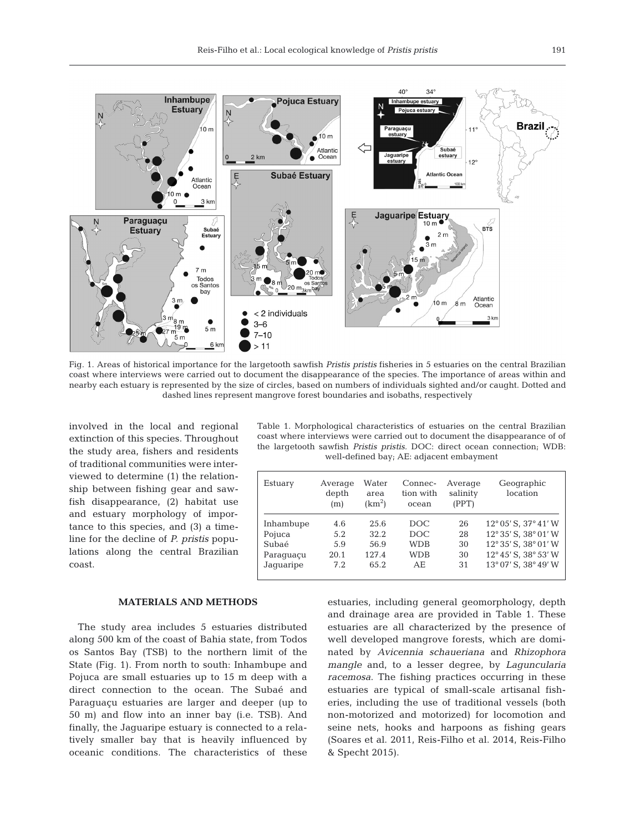

Fig. 1. Areas of historical importance for the largetooth sawfish *Pristis pristis* fisheries in 5 estuaries on the central Brazilian coast where interviews were carried out to document the disappearance of the species. The importance of areas within and nearby each estuary is represented by the size of circles, based on numbers of individuals sighted and/or caught. Dotted and dashed lines represent mangrove forest boundaries and isobaths, respectively

involved in the local and regional extinction of this species. Throughout the study area, fishers and residents of traditional communities were interviewed to determine (1) the relationship between fishing gear and sawfish disappearance, (2) habitat use and estuary morphology of importance to this species, and (3) a timeline for the decline of *P. pristis* populations along the central Brazilian coast.

## **MATERIALS AND METHODS**

The study area includes 5 estuaries distributed along 500 km of the coast of Bahia state, from Todos os Santos Bay (TSB) to the northern limit of the State (Fig. 1). From north to south: Inhambupe and Pojuca are small estuaries up to 15 m deep with a direct connection to the ocean. The Subaé and Paraguaçu estuaries are larger and deeper (up to 50 m) and flow into an inner bay (i.e. TSB). And finally, the Jaguaripe estuary is connected to a relatively smaller bay that is heavily influenced by oceanic conditions. The characteristics of these

Table 1. Morphological characteristics of estuaries on the central Brazilian coast where interviews were carried out to document the disappearance of of the largetooth sawfish *Pristis pristis.* DOC: direct ocean connection; WDB: well-defined bay; AE: adjacent embayment

| Estuary   | Average<br>depth<br>(m) | Water<br>area<br>(km <sup>2</sup> ) | Connec-<br>tion with<br>ocean | Average<br>salinity<br>(PPT) | Geographic<br>location               |  |
|-----------|-------------------------|-------------------------------------|-------------------------------|------------------------------|--------------------------------------|--|
| Inhambupe | 4.6                     | 25.6                                | DOC.                          | 26                           | $12^{\circ}05'$ S. $37^{\circ}41'$ W |  |
| Pojuca    | 5.2                     | 32.2                                | DOC.                          | 28                           | 12° 35' S, 38° 01' W                 |  |
| Subaé     | 5.9                     | 56.9                                | <b>WDB</b>                    | 30                           | $12^{\circ}35'$ S. $38^{\circ}01'$ W |  |
| Paraquaçu | 20.1                    | 127.4                               | <b>WDB</b>                    | 30                           | 12° 45' S, 38° 53' W                 |  |
| Jaquaripe | 7.2                     | 65.2                                | AE.                           | 31                           | 13° 07' S, 38° 49' W                 |  |
|           |                         |                                     |                               |                              |                                      |  |

estuaries, including general geomorphology, depth and drainage area are provided in Table 1. These estuaries are all characterized by the presence of well developed mangrove forests, which are dominated by *Avicennia schaueriana* and *Rhizophora mangle* and, to a lesser degree, by *Laguncularia racemosa*. The fishing practices occurring in these estuaries are typical of small-scale artisanal fisheries, including the use of traditional vessels (both non-motorized and motorized) for locomotion and seine nets, hooks and harpoons as fishing gears (Soares et al. 2011, Reis-Filho et al. 2014, Reis-Filho & Specht 2015).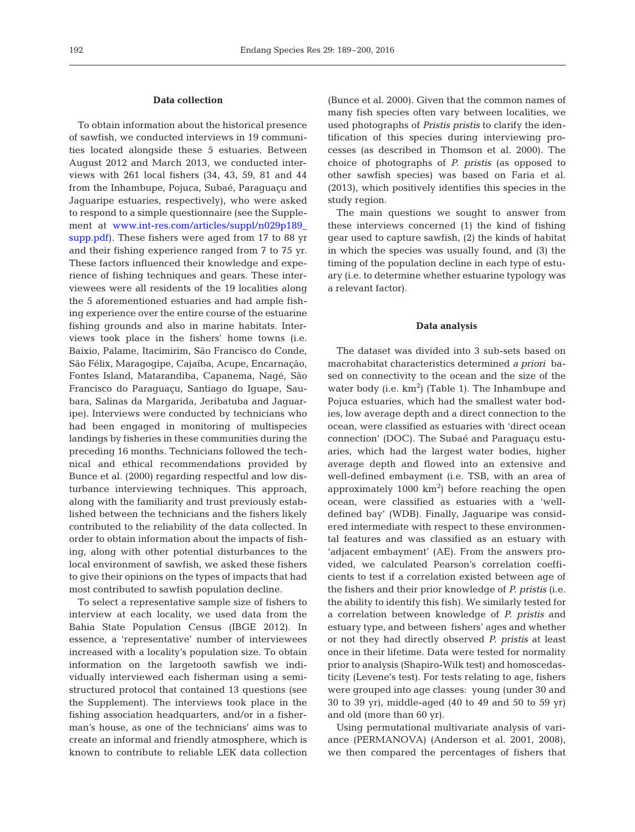## **Data collection**

To obtain information about the historical presence of sawfish, we conducted interviews in 19 communities located alongside these 5 estuaries. Between August 2012 and March 2013, we conducted interviews with 261 local fishers (34, 43, 59, 81 and 44 from the Inhambupe, Pojuca, Subaé, Paraguaçu and Jaguaripe estuaries, respectively), who were asked to respond to a simple questionnaire (see the Supplement at [www.int-res.com/articles/suppl/n029p189\\_](http://www.int-res.com/articles/suppl/n029p189_supp.pdf) [supp.pdf](http://www.int-res.com/articles/suppl/n029p189_supp.pdf)). These fishers were aged from 17 to 88 yr and their fishing experience ranged from 7 to 75 yr. These factors influenced their knowledge and experience of fishing techniques and gears. These interviewees were all residents of the 19 localities along the 5 aforementioned estuaries and had ample fishing experience over the entire course of the estuarine fishing grounds and also in marine habitats. Interviews took place in the fishers' home towns (i.e. Baixio, Palame, Itacimirim, São Francisco do Conde, São Félix, Maragogipe, Cajaíba, Acupe, Encarnação, Fontes Island, Matarandiba, Capanema, Nagé, São Francisco do Paraguaçu, Santiago do Iguape, Sau bara, Salinas da Margarida, Jeribatuba and Jaguaripe). Interviews were conducted by technicians who had been engaged in monitoring of multispecies landings by fisheries in these communities during the preceding 16 months. Technicians followed the technical and ethical recommendations provided by Bunce et al. (2000) regarding respectful and low disturbance interviewing techniques. This approach, along with the familiarity and trust previously established between the technicians and the fishers likely contributed to the reliability of the data collected. In order to obtain information about the impacts of fishing, along with other potential disturbances to the local environment of sawfish, we asked these fishers to give their opinions on the types of impacts that had most contributed to sawfish population decline.

To select a representative sample size of fishers to interview at each locality, we used data from the Bahia State Population Census (IBGE 2012). In essence, a 'representative' number of interviewees increased with a locality's population size. To obtain information on the largetooth sawfish we individually interviewed each fisherman using a semistructured protocol that contained 13 questions (see the Supplement). The interviews took place in the fishing association headquarters, and/or in a fisherman's house, as one of the technicians' aims was to create an informal and friendly atmosphere, which is known to contribute to reliable LEK data collection

(Bunce et al. 2000). Given that the common names of many fish species often vary between localities, we used photographs of *Pristis pristis* to clarify the identification of this species during interviewing processes (as described in Thomson et al. 2000). The choice of photographs of *P. pristis* (as opposed to other sawfish species) was based on Faria et al. (2013), which positively identifies this species in the study region.

The main questions we sought to answer from these interviews concerned (1) the kind of fishing gear used to capture sawfish, (2) the kinds of habitat in which the species was usually found, and (3) the timing of the population decline in each type of estuary (i.e. to determine whether estuarine typology was a relevant factor).

## **Data analysis**

The dataset was divided into 3 sub-sets based on macrohabitat characteristics determined *a priori* ba sed on connectivity to the ocean and the size of the water body (i.e.  $km^2$ ) (Table 1). The Inhambupe and Pojuca estuaries, which had the smallest water bodies, low average depth and a direct connection to the ocean, were classified as estuaries with 'direct ocean connection' (DOC). The Subaé and Paraguaçu estuaries, which had the largest water bodies, higher average depth and flowed into an extensive and well-defined embayment (i.e. TSB, with an area of approximately  $1000 \text{ km}^2$ ) before reaching the open ocean, were classified as estuaries with a 'welldefined bay' (WDB). Finally, Jaguaripe was considered intermediate with respect to these environmental features and was classified as an estuary with 'adjacent embayment' (AE). From the answers provided, we calculated Pearson's correlation coefficients to test if a correlation existed between age of the fishers and their prior knowledge of *P. pristis* (i.e. the ability to identify this fish). We similarly tested for a correlation between knowledge of *P. pristis* and estuary type, and between fishers' ages and whether or not they had directly observed *P. pristis* at least once in their lifetime. Data were tested for normality prior to analysis (Shapiro-Wilk test) and homoscedasticity (Levene's test). For tests relating to age, fishers were grouped into age classes: young (under 30 and 30 to 39 yr), middle-aged (40 to 49 and 50 to 59 yr) and old (more than 60 yr).

Using permutational multivariate analysis of variance (PERMANOVA) (Anderson et al. 2001, 2008), we then compared the percentages of fishers that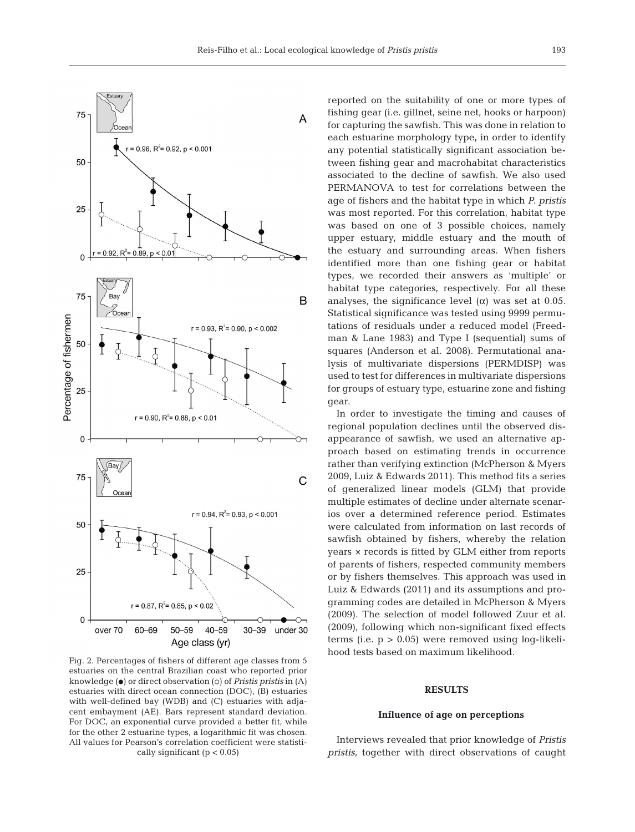

Fig. 2. Percentages of fishers of different age classes from 5 estuaries on the central Brazilian coast who reported prior knowledge ( $\bullet$ ) or direct observation ( $\circ$ ) of *Pristis pristis* in (A) estuaries with direct ocean connection (DOC), (B) estuaries with well-defined bay (WDB) and (C) estuaries with adjacent embayment (AE). Bars represent standard deviation. For DOC, an exponential curve provided a better fit, while for the other 2 estuarine types, a logarithmic fit was chosen. All values for Pearson's correlation coefficient were statistically significant ( $p < 0.05$ )

reported on the suitability of one or more types of fishing gear (i.e. gillnet, seine net, hooks or harpoon) for capturing the sawfish. This was done in relation to each estuarine morphology type, in order to identify any potential statistically significant association be tween fishing gear and macrohabitat characteristics associated to the decline of sawfish. We also used PERMANOVA to test for correlations between the age of fishers and the habitat type in which *P. pristis* was most reported. For this correlation, habitat type was based on one of 3 possible choices, namely upper estuary, middle estuary and the mouth of the estuary and surrounding areas. When fishers identified more than one fishing gear or habitat types, we recorded their answers as 'multiple' or habitat type categories, respectively. For all these analyses, the significance level  $(\alpha)$  was set at 0.05. Statistical significance was tested using 9999 permutations of residuals under a reduced model (Freedman & Lane 1983) and Type I (sequential) sums of squares (Anderson et al. 2008). Permutational ana lysis of multivariate dispersions (PERMDISP) was used to test for differences in multivariate dispersions for groups of estuary type, estuarine zone and fishing gear.

In order to investigate the timing and causes of regional population declines until the observed disappearance of sawfish, we used an alternative approach based on estimating trends in occurrence rather than verifying extinction (McPherson & Myers 2009, Luiz & Edwards 2011). This method fits a series of generalized linear models (GLM) that provide multiple estimates of decline under alternate scenarios over a determined reference period. Estimates were calculated from information on last records of sawfish obtained by fishers, whereby the relation years × records is fitted by GLM either from reports of parents of fishers, respected community members or by fishers themselves. This approach was used in Luiz & Edwards (2011) and its assumptions and programming codes are detailed in McPherson & Myers (2009). The selection of model followed Zuur et al. (2009), following which non-significant fixed effects terms (i.e.  $p > 0.05$ ) were removed using log-likelihood tests based on maximum likelihood.

## **RESULTS**

## **Influence of age on perceptions**

Interviews revealed that prior knowledge of *Pristis pristis*, together with direct observations of caught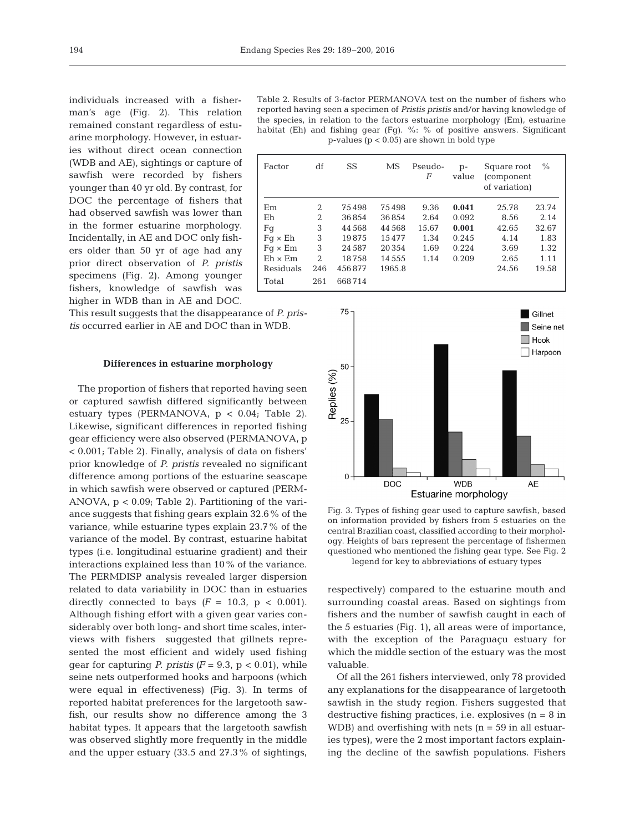individuals increased with a fisherman's age (Fig. 2). This relation remained constant regardless of estuarine morphology. However, in estuaries without direct ocean connection (WDB and AE), sightings or capture of sawfish were recorded by fishers younger than 40 yr old. By contrast, for DOC the percentage of fishers that had observed sawfish was lower than in the former estuarine morphology. Incidentally, in AE and DOC only fishers older than 50 yr of age had any prior direct observation of *P. pristis* specimens (Fig. 2). Among younger fishers, knowledge of sawfish was higher in WDB than in AE and DOC.

This result suggests that the disappearance of *P. pristis* occurred earlier in AE and DOC than in WDB.

#### **Differences in estuarine morphology**

The proportion of fishers that reported having seen or captured sawfish differed significantly between estuary types (PERMANOVA, p < 0.04; Table 2). Likewise, significant differences in reported fishing gear efficiency were also observed (PERMANOVA, p < 0.001; Table 2). Finally, analysis of data on fishers' prior knowledge of *P. pristis* revealed no significant difference among portions of the estuarine seascape in which sawfish were observed or captured (PERM-ANOVA, p < 0.09; Table 2). Partitioning of the variance suggests that fishing gears explain 32.6% of the variance, while estuarine types explain 23.7% of the variance of the model. By contrast, estuarine habitat types (i.e. longitudinal estuarine gradient) and their interactions explained less than 10% of the variance. The PERMDISP analysis revealed larger dispersion related to data variability in DOC than in estuaries directly connected to bays  $(F = 10.3, p < 0.001)$ . Although fishing effort with a given gear varies considerably over both long- and short time scales, interviews with fishers suggested that gillnets represented the most efficient and widely used fishing gear for capturing *P. pristis*  $(F = 9.3, p < 0.01)$ , while seine nets outperformed hooks and harpoons (which were equal in effectiveness) (Fig. 3). In terms of reported habitat preferences for the largetooth sawfish, our results show no difference among the 3 habitat types. It appears that the largetooth sawfish was observed slightly more frequently in the middle and the upper estuary (33.5 and 27.3% of sightings,

Table 2. Results of 3-factor PERMANOVA test on the number of fishers who reported having seen a specimen of *Pristis pristis* and/or having knowledge of the species, in relation to the factors estuarine morphology (Em), estuarine habitat (Eh) and fishing gear (Fg). %: % of positive answers. Significant p-values (p < 0.05) are shown in bold type

| Factor         | df             | SS       | MS       | Pseudo-<br>F | $p-$<br>value | Square root<br>(component)<br>of variation) | $\%$  |
|----------------|----------------|----------|----------|--------------|---------------|---------------------------------------------|-------|
| Em             | 2              | 75498    | 75498    | 9.36         | 0.041         | 25.78                                       | 23.74 |
| Eh             | $\overline{2}$ | 36854    | 36854    | 2.64         | 0.092         | 8.56                                        | 2.14  |
| Fq             | 3              | 44 5 6 8 | 44 5 68  | 15.67        | 0.001         | 42.65                                       | 32.67 |
| $Fq \times Eh$ | 3              | 19875    | 15477    | 1.34         | 0.245         | 4.14                                        | 1.83  |
| $Fq \times Em$ | 3              | 24 5 8 7 | 20354    | 1.69         | 0.224         | 3.69                                        | 1.32  |
| $Eh \times Em$ | 2              | 18758    | 14 5 5 5 | 1.14         | 0.209         | 2.65                                        | 1.11  |
| Residuals      | 246            | 456877   | 1965.8   |              |               | 24.56                                       | 19.58 |
| Total          | 261            | 668714   |          |              |               |                                             |       |



Fig. 3. Types of fishing gear used to capture sawfish, based on information provided by fishers from 5 estuaries on the central Brazilian coast, classified according to their morphology. Heights of bars represent the percentage of fishermen questioned who mentioned the fishing gear type. See Fig. 2 legend for key to abbreviations of estuary types

respectively) compared to the estuarine mouth and surrounding coastal areas. Based on sightings from fishers and the number of sawfish caught in each of the 5 estuaries (Fig. 1), all areas were of importance, with the exception of the Paraguaçu estuary for which the middle section of the estuary was the most valuable.

Of all the 261 fishers interviewed, only 78 provided any explanations for the disappearance of largetooth sawfish in the study region. Fishers suggested that destructive fishing practices, i.e. explosives  $(n = 8$  in WDB) and overfishing with nets  $(n = 59$  in all estuaries types), were the 2 most important factors explaining the decline of the sawfish populations. Fishers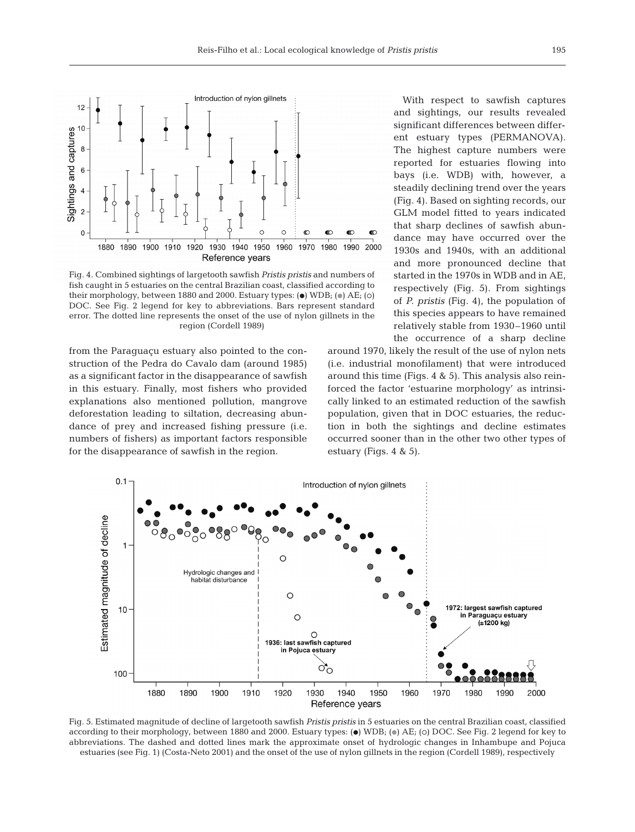

Fig. 4. Combined sightings of largetooth sawfish *Pristis pristis* and numbers of fish caught in 5 estuaries on the central Brazilian coast, classified according to their morphology, between 1880 and 2000. Estuary types: ( $\bullet$ ) WDB; ( $\circ$ ) AE; ( $\circ$ ) DOC. See Fig. 2 legend for key to abbreviations. Bars represent standard error. The dotted line represents the onset of the use of nylon gillnets in the region (Cordell 1989)

from the Paraguaçu estuary also pointed to the construction of the Pedra do Cavalo dam (around 1985) as a significant factor in the disappearance of sawfish in this estuary. Finally, most fishers who provided explanations also mentioned pollution, mangrove deforestation leading to siltation, decreasing abundance of prey and increased fishing pressure (i.e. numbers of fishers) as important factors responsible for the disappearance of sawfish in the region.

With respect to sawfish captures and sightings, our results revealed significant differences between different estuary types (PERMANOVA). The highest capture numbers were reported for estuaries flowing into bays (i.e. WDB) with, however, a steadily declining trend over the years (Fig. 4). Based on sighting records, our GLM model fitted to years indicated that sharp declines of sawfish abundance may have occurred over the 1930s and 1940s, with an additional and more pronounced decline that started in the 1970s in WDB and in AE, respectively (Fig. 5). From sightings of *P. pristis* (Fig. 4), the population of this species appears to have remained relatively stable from 1930–1960 until the occurrence of a sharp decline

around 1970, likely the result of the use of nylon nets (i.e. industrial monofilament) that were introduced around this time (Figs. 4 & 5). This analysis also reinforced the factor 'estuarine morphology' as intrinsically linked to an estimated reduction of the sawfish population, given that in DOC estuaries, the reduction in both the sightings and decline estimates occurred sooner than in the other two other types of estuary (Figs. 4 & 5).



Fig. 5. Estimated magnitude of decline of largetooth sawfish *Pristis pristis* in 5 estuaries on the central Brazilian coast, classified according to their morphology, between 1880 and 2000. Estuary types: ( $\bullet$ ) WDB; ( $\bullet$ ) AE; ( $\circ$ ) DOC. See Fig. 2 legend for key to abbreviations. The dashed and dotted lines mark the approximate onset of hydrologic changes in Inhambupe and Pojuca estuaries (see Fig. 1) (Costa-Neto 2001) and the onset of the use of nylon gillnets in the region (Cordell 1989), respectively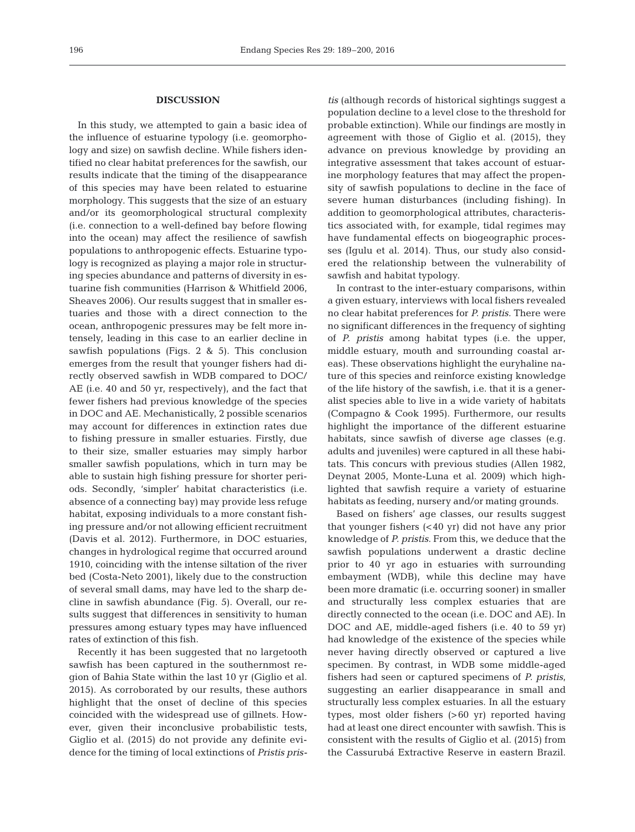# **DISCUSSION**

In this study, we attempted to gain a basic idea of the influence of estuarine typology (i.e. geomorphology and size) on sawfish decline. While fishers identified no clear habitat preferences for the sawfish, our results indicate that the timing of the disappearance of this species may have been related to estuarine morphology. This suggests that the size of an estuary and/or its geomorphological structural complexity (i.e. connection to a well-defined bay before flowing into the ocean) may affect the resilience of sawfish populations to anthropogenic effects. Estuarine typology is recognized as playing a major role in structuring species abundance and patterns of diversity in estuarine fish communities (Harrison & Whitfield 2006, Sheaves 2006). Our results suggest that in smaller estuaries and those with a direct connection to the ocean, anthropogenic pressures may be felt more intensely, leading in this case to an earlier decline in sawfish populations (Figs. 2 & 5). This conclusion emerges from the result that younger fishers had directly observed sawfish in WDB compared to DOC/ AE (i.e. 40 and 50 yr, respectively), and the fact that fewer fishers had previous knowledge of the species in DOC and AE. Mechanistically, 2 possible scenarios may account for differences in extinction rates due to fishing pressure in smaller estuaries. Firstly, due to their size, smaller estuaries may simply harbor smaller sawfish populations, which in turn may be able to sustain high fishing pressure for shorter periods. Secondly, 'simpler' habitat characteristics (i.e. absence of a connecting bay) may provide less refuge habitat, exposing individuals to a more constant fishing pressure and/or not allowing efficient recruitment (Davis et al. 2012). Furthermore, in DOC estuaries, changes in hydrological regime that occurred around 1910, coinciding with the intense siltation of the river bed (Costa-Neto 2001), likely due to the construction of several small dams, may have led to the sharp decline in sawfish abundance (Fig. 5). Overall, our results suggest that differences in sensitivity to human pressures among estuary types may have influenced rates of extinction of this fish.

Recently it has been suggested that no largetooth sawfish has been captured in the southernmost re gion of Bahia State within the last 10 yr (Giglio et al. 2015). As corroborated by our results, these authors highlight that the onset of decline of this species coincided with the widespread use of gillnets. However, given their inconclusive probabilistic tests, Giglio et al. (2015) do not provide any definite evidence for the timing of local extinctions of *Pristis pris-* tis (although records of historical sightings suggest a population decline to a level close to the threshold for probable extinction). While our findings are mostly in agreement with those of Giglio et al. (2015), they advance on previous knowledge by providing an integrative assessment that takes account of estuarine morphology features that may affect the propensity of sawfish populations to decline in the face of severe human disturbances (including fishing). In addition to geomorphological attributes, characteristics associated with, for example, tidal regimes may have fundamental effects on biogeographic processes (Igulu et al. 2014). Thus, our study also considered the relationship between the vulnerability of sawfish and habitat typology.

In contrast to the inter-estuary comparisons, within a given estuary, interviews with local fishers revealed no clear habitat preferences for *P. pristis.* There were no significant differences in the frequency of sighting of *P. pristis* among habitat types (i.e. the upper, middle estuary, mouth and surrounding coastal areas). These observations highlight the euryhaline nature of this species and reinforce existing knowledge of the life history of the sawfish, i.e. that it is a generalist species able to live in a wide variety of habitats (Compagno & Cook 1995). Furthermore, our results highlight the importance of the different estuarine habitats, since sawfish of diverse age classes (e.g. adults and juveniles) were captured in all these habitats. This concurs with previous studies (Allen 1982, Deynat 2005, Monte-Luna et al. 2009) which highlighted that sawfish require a variety of estuarine habitats as feeding, nursery and/or mating grounds.

Based on fishers' age classes, our results suggest that younger fishers (<40 yr) did not have any prior knowledge of *P. pristis*. From this, we deduce that the sawfish populations underwent a drastic decline prior to 40 yr ago in estuaries with surrounding embayment (WDB), while this decline may have been more dramatic (i.e. occurring sooner) in smaller and structurally less complex estuaries that are directly connected to the ocean (i.e. DOC and AE). In DOC and AE, middle-aged fishers (i.e. 40 to 59 yr) had knowledge of the existence of the species while never having directly observed or captured a live specimen. By contrast, in WDB some middle-aged fishers had seen or captured specimens of *P. pristis*, suggesting an earlier disappearance in small and structurally less complex estuaries. In all the estuary types, most older fishers (>60 yr) reported having had at least one direct encounter with sawfish. This is consistent with the results of Giglio et al. (2015) from the Cassurubá Extractive Reserve in eastern Brazil.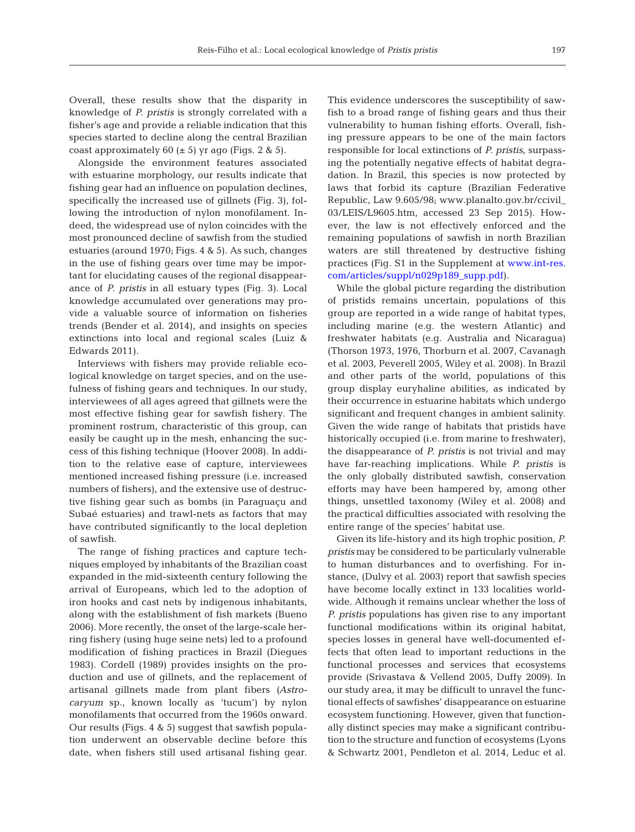Overall, these results show that the disparity in knowledge of *P. pristis* is strongly correlated with a fisher's age and provide a reliable indication that this species started to decline along the central Brazilian coast approximately 60  $(\pm 5)$  yr ago (Figs. 2 & 5).

Alongside the environment features associated with estuarine morphology, our results indicate that fishing gear had an influence on population declines, specifically the increased use of gillnets (Fig. 3), following the introduction of nylon monofilament. Indeed, the widespread use of nylon coincides with the most pronounced decline of sawfish from the studied estuaries (around 1970; Figs. 4 & 5). As such, changes in the use of fishing gears over time may be important for elucidating causes of the regional disappearance of *P. pristis* in all estuary types (Fig. 3). Local knowledge accumulated over generations may provide a valuable source of information on fisheries trends (Bender et al. 2014), and insights on species extinctions into local and regional scales (Luiz & Edwards 2011).

Interviews with fishers may provide reliable ecological knowledge on target species, and on the usefulness of fishing gears and techniques. In our study, interviewees of all ages agreed that gillnets were the most effective fishing gear for sawfish fishery. The prominent rostrum, characteristic of this group, can easily be caught up in the mesh, enhancing the success of this fishing technique (Hoover 2008). In addition to the relative ease of capture, interviewees mentioned increased fishing pressure (i.e. increased numbers of fishers), and the extensive use of destructive fishing gear such as bombs (in Paraguaçu and Subaé estuaries) and trawl-nets as factors that may have contributed significantly to the local depletion of sawfish.

The range of fishing practices and capture techniques employed by inhabitants of the Brazilian coast expanded in the mid-sixteenth century following the arrival of Europeans, which led to the adoption of iron hooks and cast nets by indigenous inhabitants, along with the establishment of fish markets (Bueno 2006). More recently, the onset of the large-scale herring fishery (using huge seine nets) led to a profound modification of fishing practices in Brazil (Diegues 1983). Cordell (1989) provides insights on the production and use of gillnets, and the replacement of artisanal gillnets made from plant fibers *(Astrocaryum* sp., known locally as 'tucum') by nylon monofilaments that occurred from the 1960s onward. Our results (Figs. 4 & 5) suggest that sawfish population underwent an observable decline before this date, when fishers still used artisanal fishing gear.

This evidence underscores the susceptibility of sawfish to a broad range of fishing gears and thus their vulnerability to human fishing efforts. Overall, fishing pressure appears to be one of the main factors responsible for local extinctions of *P. pristis*, surpassing the potentially negative effects of habitat degradation. In Brazil, this species is now protected by laws that forbid its capture (Brazilian Federative Republic, Law 9.605/98; www.planalto.gov.br/ccivil \_ 03/LEIS/L9605.htm, accessed 23 Sep 2015). However, the law is not effectively enforced and the remaining populations of sawfish in north Brazilian waters are still threatened by destructive fishing practices (Fig. S1 in the Supplement at [www.int-res.](http://www.int-res.com/articles/suppl/n029p189_supp.pdf) [com/articles/suppl/n029p189\\_ supp.pdf\)](http://www.int-res.com/articles/suppl/n029p189_supp.pdf).

While the global picture regarding the distribution of pristids remains uncertain, populations of this group are reported in a wide range of habitat types, including marine (e.g. the western Atlantic) and freshwater habitats (e.g. Australia and Nicaragua) (Thorson 1973, 1976, Thorburn et al. 2007, Cavanagh et al. 2003, Peverell 2005, Wiley et al. 2008). In Brazil and other parts of the world, populations of this group display euryhaline abilities, as indicated by their occurrence in estuarine habitats which undergo significant and frequent changes in ambient salinity. Given the wide range of habitats that pristids have historically occupied (i.e. from marine to freshwater), the disappearance of *P. pristis* is not trivial and may have far-reaching implications. While *P. pristis* is the only globally distributed sawfish, conservation efforts may have been hampered by, among other things, unsettled taxonomy (Wiley et al. 2008) and the practical difficulties associated with resolving the entire range of the species' habitat use.

Given its life-history and its high trophic position, *P. pristis* may be considered to be particularly vulnerable to human disturbances and to overfishing. For instance, (Dulvy et al. 2003) report that sawfish species have become locally extinct in 133 localities worldwide. Although it remains unclear whether the loss of *P. pristis* populations has given rise to any important functional modifications within its original habitat, species losses in general have well-documented effects that often lead to important reductions in the functional processes and services that ecosystems provide (Srivastava & Vellend 2005, Duffy 2009). In our study area, it may be difficult to unravel the functional effects of sawfishes' disappearance on estuarine ecosystem functioning. However, given that functionally distinct species may make a significant contribution to the structure and function of ecosystems (Lyons & Schwartz 2001, Pendleton et al. 2014, Leduc et al.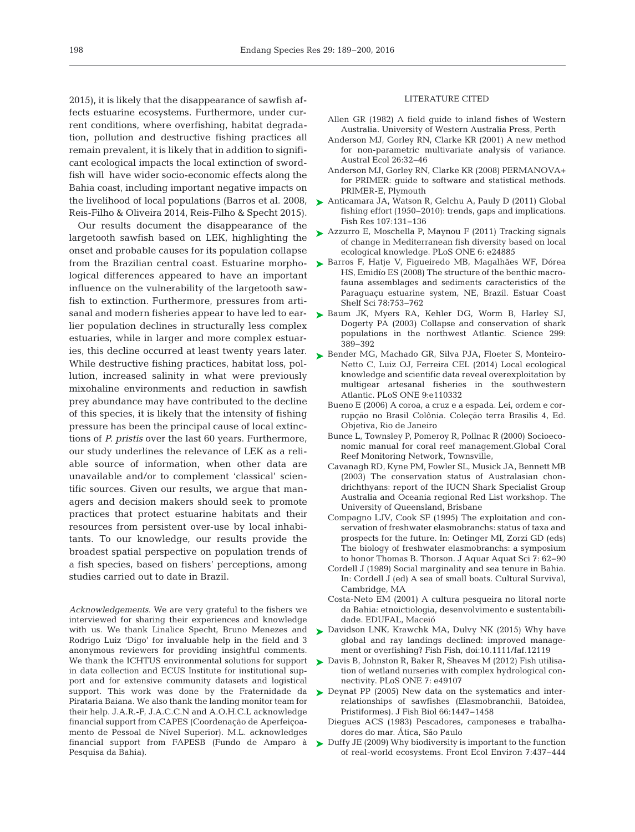2015), it is likely that the disappearance of sawfish affects estuarine ecosystems. Furthermore, under current conditions, where overfishing, habitat degradation, pollution and destructive fishing practices all remain prevalent, it is likely that in addition to significant ecological impacts the local extinction of swordfish will have wider socio-economic effects along the Bahia coast, including important negative impacts on the livelihood of local populations (Barros et al. 2008, Reis-Filho & Oliveira 2014, Reis-Filho & Specht 2015).

Our results document the disappearance of the largetooth sawfish based on LEK, highlighting the onset and probable causes for its population collapse from the Brazilian central coast. Estuarine morphological differences appeared to have an important influence on the vulnerability of the largetooth sawfish to extinction. Furthermore, pressures from artisanal and modern fisheries appear to have led to earlier population declines in structurally less complex estuaries, while in larger and more complex estuaries, this decline occurred at least twenty years later. While destructive fishing practices, habitat loss, pollution, increased salinity in what were previously mixohaline environments and reduction in sawfish prey abundance may have contributed to the decline of this species, it is likely that the intensity of fishing pressure has been the principal cause of local extinctions of *P. pristis* over the last 60 years. Furthermore, our study underlines the relevance of LEK as a reliable source of information, when other data are unavailable and/or to complement 'classical' scientific sources. Given our results, we argue that managers and decision makers should seek to promote practices that protect estuarine habitats and their resources from persistent over-use by local inhabitants. To our knowledge, our results provide the broadest spatial perspective on population trends of a fish species, based on fishers' perceptions, among studies carried out to date in Brazil.

*Acknowledgements*. We are very grateful to the fishers we interviewed for sharing their experiences and knowledge with us. We thank Linalice Specht, Bruno Menezes and Rodrigo Luiz 'Digo' for invaluable help in the field and 3 anonymous reviewers for providing insightful comments. We thank the ICHTUS environmental solutions for support in data collection and ECUS Institute for institutional support and for extensive community datasets and logistical support. This work was done by the Fraternidade da Pirataria Baiana. We also thank the landing monitor team for their help. J.A.R.-F, J.A.C.C.N and A.O.H.C.L acknowledge financial support from CAPES (Coordenação de Aperfeiçoamento de Pessoal de Nível Superior). M.L. acknowledges financial support from FAPESB (Fundo de Amparo à Pesquisa da Bahia).

#### LITERATURE CITED

- Allen GR (1982) A field guide to inland fishes of Western Australia. University of Western Australia Press, Perth
- Anderson MJ, Gorley RN, Clarke KR (2001) A new method for non-parametric multivariate analysis of variance. Austral Ecol 26: 32−46
- Anderson MJ, Gorley RN, Clarke KR (2008) PERMANOVA+ for PRIMER: guide to software and statistical methods. PRIMER-E, Plymouth
- [Anticamara JA, Watson R, Gelchu A, Pauly D \(2011\) Global](http://dx.doi.org/10.1016/j.fishres.2010.10.016) ➤ fishing effort (1950–2010): trends, gaps and implications. Fish Res 107: 131−136
- [Azzurro E, Moschella P, Maynou F \(2011\) Tracking signals](http://dx.doi.org/10.1371/journal.pone.0024885) ➤ of change in Mediterranean fish diversity based on local ecological knowledge. PLoS ONE 6: e24885
- ► [Barros F, Hatje V, Figueiredo MB, Magalhães WF, Dórea](http://dx.doi.org/10.1016/j.ecss.2008.02.016) HS, Emidío ES (2008) The structure of the benthic macrofauna assemblages and sediments caracteristics of the Paraguaçu estuarine system, NE, Brazil. Estuar Coast Shelf Sci 78:753-762
- ▶ [Baum JK, Myers RA, Kehler DG, Worm B, Harley SJ,](http://dx.doi.org/10.1126/science.1079777) Dogerty PA (2003) Collapse and conservation of shark populations in the northwest Atlantic. Science 299: 389−392
- ▶ [Bender MG, Machado GR, Silva PJA, Floeter S, Monteiro-](http://dx.doi.org/10.1016/j.fishres.2004.10.010)Netto C, Luiz OJ, Ferreira CEL (2014) Local ecological knowledge and scientific data reveal overexploitation by multigear artesanal fisheries in the southwestern Atlantic. PLoS ONE 9:e110332
	- Bueno E (2006) A coroa, a cruz e a espada. Lei, ordem e corrupção no Brasil Colônia. Coleção terra Brasilis 4, Ed. Objetiva, Rio de Janeiro
	- Bunce L, Townsley P, Pomeroy R, Pollnac R (2000) Socioeconomic manual for coral reef management.Global Coral Reef Monitoring Network, Townsville,
	- Cavanagh RD, Kyne PM, Fowler SL, Musick JA, Bennett MB (2003) The conservation status of Australasian chondrichthyans: report of the IUCN Shark Specialist Group Australia and Oceania regional Red List workshop. The University of Queensland, Brisbane
	- Compagno LJV, Cook SF (1995) The exploitation and conservation of freshwater elasmobranchs: status of taxa and prospects for the future. In:Oetinger MI, Zorzi GD (eds) The biology of freshwater elasmobranchs: a symposium to honor Thomas B. Thorson. J Aquar Aquat Sci 7:62−90
	- Cordell J (1989) Social marginality and sea tenure in Bahia. In:Cordell J (ed) A sea of small boats. Cultural Survival, Cambridge, MA
	- Costa-Neto EM (2001) A cultura pesqueira no litoral norte da Bahia: etnoictiologia, desenvolvimento e sustentabilidade. EDUFAL, Maceió
- ▶ [Davidson LNK, Krawchk MA, Dulvy NK \(2015\) Why have](http://dx.doi.org/10.1111/faf.12119) global and ray landings declined: improved management or overfishing? Fish Fish, doi: 10.1111/faf.12119
- ▶ [Davis B, Johnston R, Baker R, Sheaves M \(2012\) Fish utilisa](http://www.ncbi.nlm.nih.gov/entrez/query.fcgi?cmd=Retrieve&db=PubMed&list_uids=23152857&dopt=Abstract)tion of wetland nurseries with complex hydrological connectivity. PLoS ONE 7: e49107
- ▶ Deynat PP (2005) New data on the systematics and interrelationships of sawfishes (Elasmobranchii, Batoidea, Pristiformes). J Fish Biol 66: 1447−1458
	- Diegues ACS (1983) Pescadores, camponeses e trabalhadores do mar. Ática, São Paulo
- ▶ [Duffy JE \(2009\) Why biodiversity is important to the function](http://dx.doi.org/10.1890/070195) of real-world ecosystems. Front Ecol Environ 7: 437−444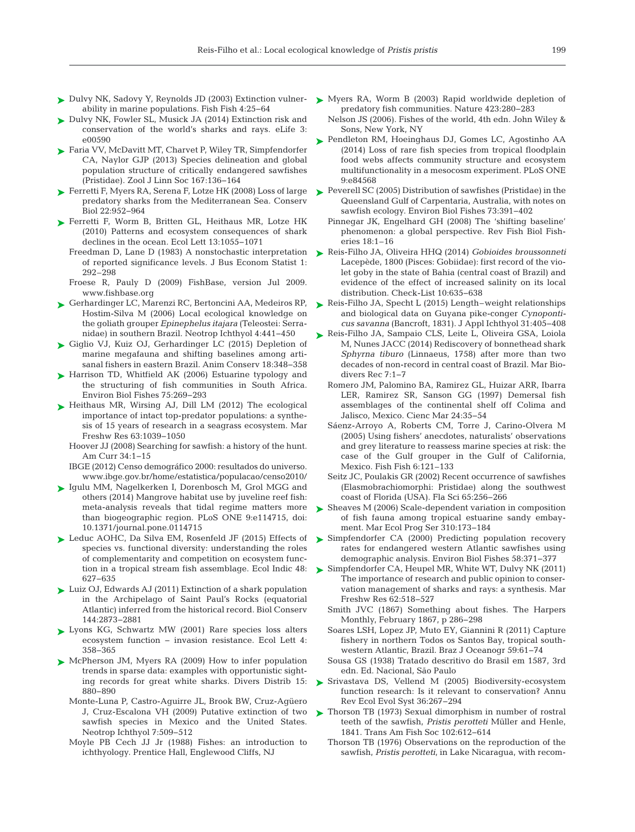- ► Dulvy NK, Sadovy Y, Reynolds JD (2003) Extinction vulner- ► [Myers RA, Worm B \(2003\) Rapid worldwide depletion of](http://dx.doi.org/10.1038/nature01610) ability in marine populations. Fish Fish 4: 25−64
- ► [Dulvy NK, Fowler SL, Musick JA \(2014\) Extinction risk and](http://dx.doi.org/10.7554/eLife.00590) conservation of the world's sharks and rays. eLife 3: e00590
- ► [Faria VV, McDavitt MT, Charvet P, Wiley TR, Simpfendorfer](http://dx.doi.org/10.1111/j.1096-3642.2012.00872.x) CA, Naylor GJP (2013) Species delineation and global population structure of critically endangered sawfishes (Pristidae). Zool J Linn Soc 167: 136−164
- [Ferretti F, Myers RA, Serena F, Lotze HK \(2008\) Loss of large](http://dx.doi.org/10.1111/j.1523-1739.2008.00938.x) ➤ predatory sharks from the Mediterranean Sea. Conserv Biol 22: 952−964
- ▶ [Ferretti F, Worm B, Britten GL, Heithaus MR, Lotze HK](http://dx.doi.org/10.1146/annurev.ecolsys.35.021103.105711) (2010) Patterns and ecosystem consequences of shark declines in the ocean. Ecol Lett 13: 1055−1071
	- of reported significance levels. J Bus Econom Statist 1: 292–298
	- Froese R, Pauly D (2009) FishBase, version Jul 2009. www.fishbase.org
- ► [Gerhardinger LC, Marenzi RC, Bertoncini AA, Medeiros RP,](http://dx.doi.org/10.1590/S1679-62252006000400008) Hostim-Silva M (2006) Local ecological knowledge on the goliath grouper *Epinephelus itajara* (Teleostei: Serranidae) in southern Brazil. Neotrop Ichthyol 4:441-450
- ▶ [Giglio VJ, Kuiz OJ, Gerhardinger LC \(2015\) Depletion of](http://dx.doi.org/10.1126/science.1149345) marine megafauna and shifting baselines among artisanal fishers in eastern Brazil. Anim Conserv 18:348-358
- ▶ [Harrison TD, Whitfield AK \(2006\) Estuarine typology and](http://dx.doi.org/10.1007/s10641-006-0028-y) the structuring of fish communities in South Africa. Environ Biol Fishes 75: 269−293
- ▶ [Heithaus MR, Wirsing AJ, Dill LM \(2012\) The ecological](http://dx.doi.org/10.1071/MF12024) importance of intact top-predator populations: a synthesis of 15 years of research in a seagrass ecosystem. Mar Freshw Res 63: 1039−1050
	- Hoover JJ (2008) Searching for sawfish: a history of the hunt. Am Curr 34:1-15
	- IBGE (2012) Censo demográfico 2000: resultados do universo. www. ibge. gov. br/ home/ estatistica/ populacao/ censo 2010/
- ▶ [Igulu MM, Nagelkerken I, Dorenbosch M, Grol MGG and](http://dx.doi.org/10.1371/journal.pone.0114715) others (2014) Mangrove habitat use by juveline reef fish: meta-analysis reveals that tidal regime matters more than biogeographic region. PLoS ONE 9:e114715, doi: 10.1371/journal.pone.0114715
- ► [Leduc AOHC, Da Silva EM, Rosenfeld JF \(2015\) Effects of](http://dx.doi.org/10.1016/j.ecolind.2014.09.027) species vs. functional diversity: understanding the roles of complementarity and competition on ecosystem function in a tropical stream fish assemblage. Ecol Indic 48: 627−635
- ► [Luiz OJ, Edwards AJ \(2011\) Extinction of a shark population](http://dx.doi.org/10.1016/j.biocon.2011.08.004) in the Archipelago of Saint Paul's Rocks (equatorial Atlantic) inferred from the historical record. Biol Conserv 144: 2873−2881
- ▶ [Lyons KG, Schwartz MW \(2001\) Rare species loss alters](http://dx.doi.org/10.1046/j.1461-0248.2001.00235.x) ecosystem function − invasion resistance. Ecol Lett 4: 358−365
- ▶ [McPherson JM, Myers RA \(2009\) How to infer population](http://dx.doi.org/10.1126/science.269.5222.358) trends in sparse data: examples with opportunistic sighting records for great white sharks. Divers Distrib 15: 880−890
	- Monte-Luna P, Castro-Aguirre JL, Brook BW, Cruz-Agüero J, Cruz-Escalona VH (2009) Putative extinction of two sawfish species in Mexico and the United States. Neotrop Ichthyol 7:509-512
	- Moyle PB Cech JJ Jr (1988) Fishes: an introduction to ichthyology. Prentice Hall, Englewood Cliffs, NJ
- predatory fish communities. Nature 423:280-283
- Nelson JS (2006). Fishes of the world, 4th edn. John Wiley & Sons, New York, NY
- ▶ [Pendleton RM, Hoeinghaus DJ, Gomes LC, Agostinho AA](http://dx.doi.org/10.1371/journal.pone.0084568) (2014) Loss of rare fish species from tropical floodplain food webs affects community structure and ecosystem multifunctionality in a mesocosm experiment. PLoS ONE 9: e84568
- ► [Peverell SC \(2005\) Distribution of sawfishes \(Pristidae\) in the](http://dx.doi.org/10.1007/s10641-005-1599-8) Queensland Gulf of Carpentaria, Australia, with notes on sawfish ecology. Environ Biol Fishes 73: 391−402
	- Pinnegar JK, Engelhard GH (2008) The 'shifting baseline' phenomenon: a global perspective. Rev Fish Biol Fisheries 18:1-16
- Freedman D, Lane D (1983) A nonstochastic interpretation → [Reis-Filho JA, Oliveira HHQ \(2014\)](http://dx.doi.org/10.15560/10.3.635) *Gobioides broussonneti* Lacepède, 1800 (Pisces: Gobiidae): first record of the violet goby in the state of Bahia (central coast of Brazil) and evidence of the effect of increased salinity on its local distribution. Check-List 10: 635−638
	- ► [Reis-Filho JA, Specht L \(2015\) Length–weight relationships](http://dx.doi.org/10.1111/jai.12662) and biological data on Guyana pike-conger *Cynoponticus savanna* (Bancroft, 1831). J Appl Ichthyol 31: 405−408
	- ▶ [Reis-Filho JA, Sampaio CLS, Leite L, Oliveira GSA, Loiola](http://dx.doi.org/10.1017/S1755267214000487) M, Nunes JACC (2014) Rediscovery of bonnethead shark *Sphyrna tiburo* (Linnaeus, 1758) after more than two decades of non-record in central coast of Brazil. Mar Biodivers Rec 7: 1−7
		- Romero JM, Palomino BA, Ramirez GL, Huizar ARR, Ibarra LER, Ramirez SR, Sanson GG (1997) Demersal fish assemblages of the continental shelf off Colima and Jalisco, Mexico. Cienc Mar 24: 35−54
		- Sáenz-Arroyo A, Roberts CM, Torre J, Carino-Olvera M (2005) Using fishers' anecdotes, naturalists' observations and grey literature to reassess marine species at risk: the case of the Gulf grouper in the Gulf of California, Mexico. Fish Fish 6: 121–133
		- Seitz JC, Poulakis GR (2002) Recent occurrence of sawfishes (Elasmobrachiomorphi: Pristidae) along the southwest coast of Florida (USA). Fla Sci 65: 256−266
	- ▶ [Sheaves M \(2006\) Scale-dependent variation in composition](http://dx.doi.org/10.3354/meps310173) of fish fauna among tropical estuarine sandy embayment. Mar Ecol Prog Ser 310: 173−184
	- ► [Simpfendorfer CA \(2000\) Predicting population recovery](http://dx.doi.org/10.1023/A%3A1007675111597) rates for endangered western Atlantic sawfishes using demographic analysis. Environ Biol Fishes 58:371-377
	- ► [Simpfendorfer CA, Heupel MR, White WT, Dulvy NK \(2011\)](http://dx.doi.org/10.1071/MF11086) The importance of research and public opinion to conservation management of sharks and rays: a synthesis. Mar Freshw Res 62:518-527
		- Smith JVC (1867) Something about fishes. The Harpers Monthly, February 1867, p 286−298
		- Soares LSH, Lopez JP, Muto EY, Giannini R (2011) Capture fishery in northern Todos os Santos Bay, tropical southwestern Atlantic, Brazil. Braz J Oceanogr 59:61−74
		- Sousa GS (1938) Tratado descritivo do Brasil em 1587, 3rd edn. Ed. Nacional, São Paulo
	- ▶ [Srivastava DS, Vellend M \(2005\) Biodiversity-ecosystem](http://dx.doi.org/10.1071/MF98158) function research: Is it relevant to conservation? Annu Rev Ecol Evol Syst 36: 267−294
	- ▶ [Thorson TB \(1973\) Sexual dimorphism in number of rostral](http://dx.doi.org/10.1577/1548-8659(1973)102%3C612%3ASDINOR%3E2.0.CO%3B2) teeth of the sawfish, *Pristis perotteti* Müller and Henle, 1841. Trans Am Fish Soc 102:612-614
		- Thorson TB (1976) Observations on the reproduction of the sawfish, *Pristis perotteti*, in Lake Nicaragua, with recom-